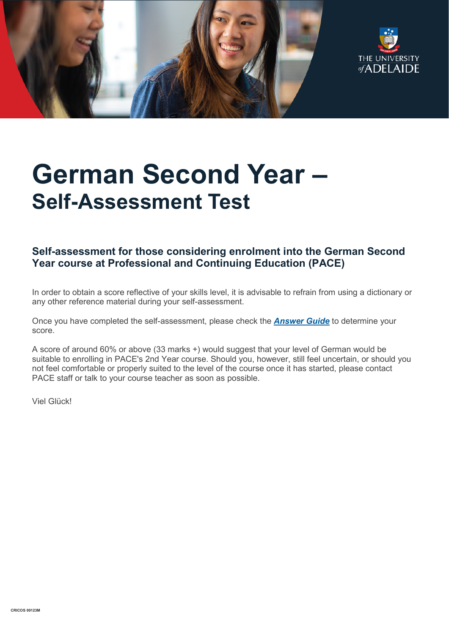



# **German Second Year – Self-Assessment Test**

# **Self-assessment for those considering enrolment into the German Second Year course at Professional and Continuing Education (PACE)**

In order to obtain a score reflective of your skills level, it is advisable to refrain from using a dictionary or any other reference material during your self-assessment.

Once you have completed the self-assessment, please check the *[Answer Guide](https://www.adelaide.edu.au/pace/system/files/media/documents/2021-11/placement_test-german_year_2_answers.pdf)* to determine your score.

A score of around 60% or above (33 marks +) would suggest that your level of German would be suitable to enrolling in PACE's 2nd Year course. Should you, however, still feel uncertain, or should you not feel comfortable or properly suited to the level of the course once it has started, please contact PACE staff or talk to your course teacher as soon as possible.

Viel Glück!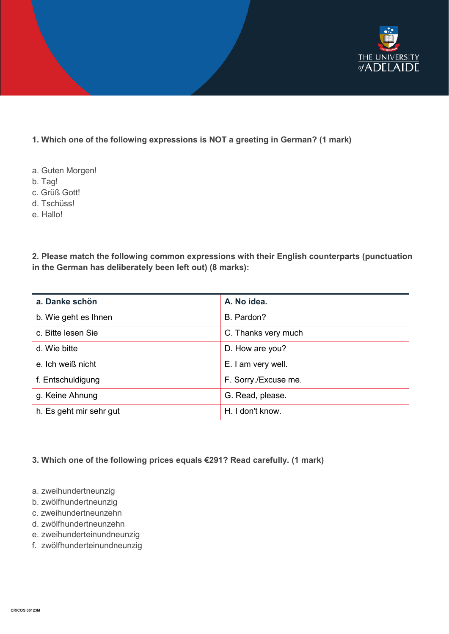

# **1. Which one of the following expressions is NOT a greeting in German? (1 mark)**

- a. Guten Morgen!
- b. Tag!
- c. Grüß Gott!
- d. Tschüss!
- e. Hallo!

**2. Please match the following common expressions with their English counterparts (punctuation in the German has deliberately been left out) (8 marks):**

| a. Danke schön          | A. No idea.          |
|-------------------------|----------------------|
| b. Wie geht es Ihnen    | B. Pardon?           |
| c. Bitte lesen Sie      | C. Thanks very much  |
| d. Wie bitte            | D. How are you?      |
| e. Ich weiß nicht       | E. I am very well.   |
| f. Entschuldigung       | F. Sorry./Excuse me. |
| g. Keine Ahnung         | G. Read, please.     |
| h. Es geht mir sehr gut | H. I don't know.     |

# **3. Which one of the following prices equals €291? Read carefully. (1 mark)**

- a. zweihundertneunzig
- b. zwölfhundertneunzig
- c. zweihundertneunzehn
- d. zwölfhundertneunzehn
- e. zweihunderteinundneunzig
- f. zwölfhunderteinundneunzig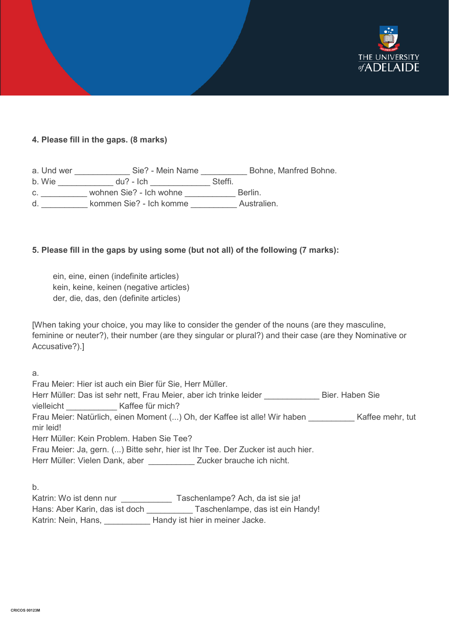

#### **4. Please fill in the gaps. (8 marks)**

| a. Und wer | Sie? - Mein Name        | Bohne, Manfred Bohne. |
|------------|-------------------------|-----------------------|
| b. Wie     | $du$ ? - Ich            | Steffi.               |
| C.         | wohnen Sie? - Ich wohne | Berlin.               |
| d.         | kommen Sie? - Ich komme | Australien.           |

#### **5. Please fill in the gaps by using some (but not all) of the following (7 marks):**

ein, eine, einen (indefinite articles) kein, keine, keinen (negative articles) der, die, das, den (definite articles)

[When taking your choice, you may like to consider the gender of the nouns (are they masculine, feminine or neuter?), their number (are they singular or plural?) and their case (are they Nominative or Accusative?).]

a. Frau Meier: Hier ist auch ein Bier für Sie, Herr Müller. Herr Müller: Das ist sehr nett, Frau Meier, aber ich trinke leider **Erner Stender Bier. Haben Sie** vielleicht Kaffee für mich? Frau Meier: Natürlich, einen Moment (...) Oh, der Kaffee ist alle! Wir haben \_\_\_\_\_\_\_\_\_\_ Kaffee mehr, tut mir leid! Herr Müller: Kein Problem. Haben Sie Tee? Frau Meier: Ja, gern. (...) Bitte sehr, hier ist Ihr Tee. Der Zucker ist auch hier. Herr Müller: Vielen Dank, aber \_\_\_\_\_\_\_\_\_\_\_\_ Zucker brauche ich nicht.

b.

| Katrin: Wo ist denn nur        | Taschenlampe? Ach, da ist sie ja! |
|--------------------------------|-----------------------------------|
| Hans: Aber Karin, das ist doch | Taschenlampe, das ist ein Handy!  |
| Katrin: Nein, Hans,            | Handy ist hier in meiner Jacke.   |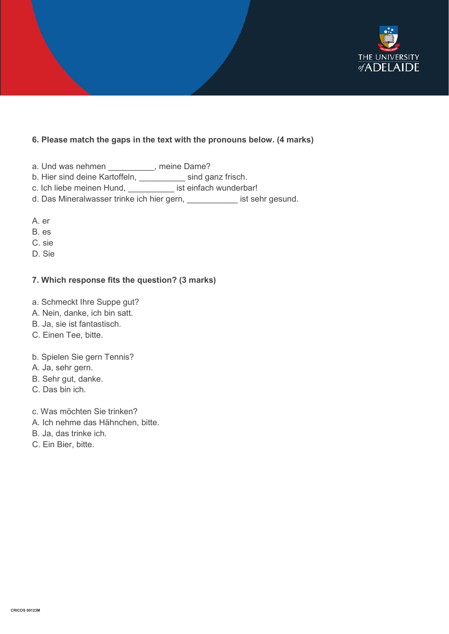

#### **6. Please match the gaps in the text with the pronouns below. (4 marks)**

- a. Und was nehmen \_\_\_\_\_\_\_\_\_\_, meine Dame?
- b. Hier sind deine Kartoffeln, \_\_\_\_\_\_\_\_\_\_ sind ganz frisch.
- c. Ich liebe meinen Hund, \_\_\_\_\_\_\_\_\_\_ ist einfach wunderbar!
- d. Das Mineralwasser trinke ich hier gern, \_\_\_\_\_\_\_\_\_\_\_ ist sehr gesund.
- A. er
- B. es
- C. sie
- D. Sie

#### **7. Which response fits the question? (3 marks)**

- a. Schmeckt Ihre Suppe gut?
- A. Nein, danke, ich bin satt.
- B. Ja, sie ist fantastisch.
- C. Einen Tee, bitte.
- b. Spielen Sie gern Tennis?
- A. Ja, sehr gern.
- B. Sehr gut, danke.
- C. Das bin ich.
- c. Was möchten Sie trinken?
- A. Ich nehme das Hähnchen, bitte.
- B. Ja, das trinke ich.
- C. Ein Bier, bitte.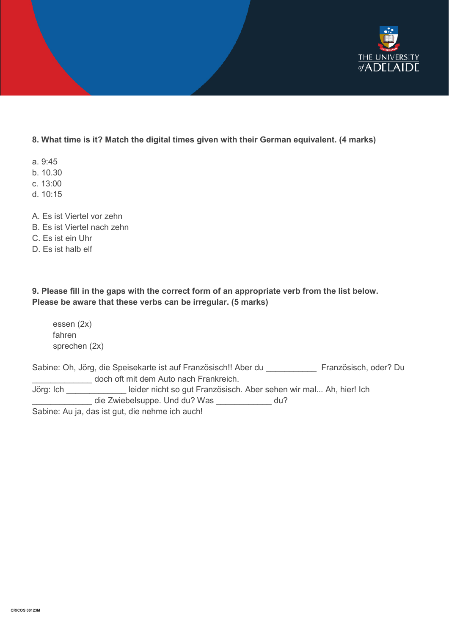

# **8. What time is it? Match the digital times given with their German equivalent. (4 marks)**

- a. 9:45
- b. 10.30
- c. 13:00
- d. 10:15
- A. Es ist Viertel vor zehn
- B. Es ist Viertel nach zehn
- C. Es ist ein Uhr
- D. Es ist halb elf

# **9. Please fill in the gaps with the correct form of an appropriate verb from the list below. Please be aware that these verbs can be irregular. (5 marks)**

essen (2x) fahren sprechen (2x)

Sabine: Oh, Jörg, die Speisekarte ist auf Französisch!! Aber du Französisch, oder? Du doch oft mit dem Auto nach Frankreich. Jörg: Ich \_\_\_\_\_\_\_\_\_\_\_\_\_ leider nicht so gut Französisch. Aber sehen wir mal... Ah, hier! Ich \_\_\_\_\_\_\_\_\_\_\_\_\_ die Zwiebelsuppe. Und du? Was \_\_\_\_\_\_\_\_\_\_\_\_ du? Sabine: Au ja, das ist gut, die nehme ich auch!